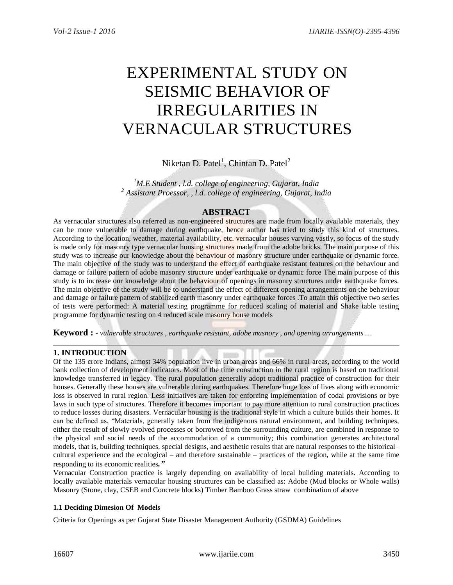# EXPERIMENTAL STUDY ON SEISMIC BEHAVIOR OF IRREGULARITIES IN VERNACULAR STRUCTURES

Niketan D. Patel<sup>1</sup>, Chintan D. Patel<sup>2</sup>

*<sup>1</sup>M.E Student , l.d. college of engineering, Gujarat, India <sup>2</sup> Assistant Proessor, , l.d. college of engineering, Gujarat, India*

# **ABSTRACT**

As vernacular structures also referred as non-engineered structures are made from locally available materials, they can be more vulnerable to damage during earthquake, hence author has tried to study this kind of structures. According to the location, weather, material availability, etc. vernacular houses varying vastly, so focus of the study is made only for masonry type vernacular housing structures made from the adobe bricks. The main purpose of this study was to increase our knowledge about the behaviour of masonry structure under earthquake or dynamic force. The main objective of the study was to understand the effect of earthquake resistant features on the behaviour and damage or failure pattern of adobe masonry structure under earthquake or dynamic force The main purpose of this study is to increase our knowledge about the behaviour of openings in masonry structures under earthquake forces. The main objective of the study will be to understand the effect of different opening arrangements on the behaviour and damage or failure pattern of stabilized earth masonry under earthquake forces .To attain this objective two series of tests were performed: A material testing programme for reduced scaling of material and Shake table testing programme for dynamic testing on 4 reduced scale masonry house models

**Keyword : -** *vulnerable structures , earthquake resistant, adobe masnory , and opening arrangements….*

## **1. INTRODUCTION**

Of the 135 crore Indians, almost 34% population live in urban areas and 66% in rural areas, according to the world bank collection of development indicators. Most of the time construction in the rural region is based on traditional knowledge transferred in legacy. The rural population generally adopt traditional practice of construction for their houses. Generally these houses are vulnerable during earthquakes. Therefore huge loss of lives along with economic loss is observed in rural region. Less initiatives are taken for enforcing implementation of codal provisions or bye laws in such type of structures. Therefore it becomes important to pay more attention to rural construction practices to reduce losses during disasters. Vernacular housing is the traditional style in which a culture builds their homes. It can be defined as, "Materials, generally taken from the indigenous natural environment, and building techniques, either the result of slowly evolved processes or borrowed from the surrounding culture, are combined in response to the physical and social needs of the accommodation of a community; this combination generates architectural models, that is, building techniques, special designs, and aesthetic results that are natural responses to the historical– cultural experience and the ecological – and therefore sustainable – practices of the region, while at the same time responding to its economic realities*."*

Vernacular Construction practice is largely depending on availability of local building materials. According to locally available materials vernacular housing structures can be classified as: Adobe (Mud blocks or Whole walls) Masonry (Stone, clay, CSEB and Concrete blocks) Timber Bamboo Grass straw combination of above

## **1.1 Deciding Dimesion Of Models**

Criteria for Openings as per Gujarat State Disaster Management Authority (GSDMA) Guidelines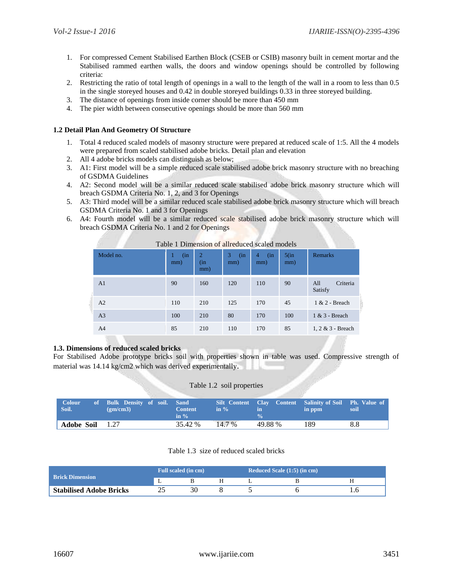- 1. For compressed Cement Stabilised Earthen Block (CSEB or CSIB) masonry built in cement mortar and the Stabilised rammed earthen walls, the doors and window openings should be controlled by following criteria:
- 2. Restricting the ratio of total length of openings in a wall to the length of the wall in a room to less than 0.5 in the single storeyed houses and 0.42 in double storeyed buildings 0.33 in three storeyed building.
- 3. The distance of openings from inside corner should be more than 450 mm
- 4. The pier width between consecutive openings should be more than 560 mm

## **1.2 Detail Plan And Geometry Of Structure**

- 1. Total 4 reduced scaled models of masonry structure were prepared at reduced scale of 1:5. All the 4 models were prepared from scaled stabilised adobe bricks. Detail plan and elevation
- 2. All 4 adobe bricks models can distinguish as below;
- 3. A1: First model will be a simple reduced scale stabilised adobe brick masonry structure with no breaching of GSDMA Guidelines
- 4. A2: Second model will be a similar reduced scale stabilised adobe brick masonry structure which will breach GSDMA Criteria No. 1, 2, and 3 for Openings
- 5. A3: Third model will be a similar reduced scale stabilised adobe brick masonry structure which will breach GSDMA Criteria No. 1 and 3 for Openings
- 6. A4: Fourth model will be a similar reduced scale stabilised adobe brick masonry structure which will breach GSDMA Criteria No. 1 and 2 for Openings

| Table T Difficusion of anticulated scaled models |            |                              |                 |                 |                |                            |
|--------------------------------------------------|------------|------------------------------|-----------------|-----------------|----------------|----------------------------|
| Model no.                                        | (in<br>mm) | $\overline{2}$<br>(in<br>mm) | 3<br>(in<br>mm) | 4<br>(in<br>mm) | $5$ (in<br>mm) | <b>Remarks</b>             |
| A <sub>1</sub>                                   | 90         | 160                          | 120             | 110             | 90             | Criteria<br>All<br>Satisfy |
| A <sub>2</sub>                                   | 110        | 210                          | 125             | 170             | 45             | $1 & 2$ - Breach           |
| A <sub>3</sub>                                   | 100        | 210                          | 80              | 170             | 100            | 1 & 3 - Breach             |
| A <sup>4</sup>                                   | 85         | 210                          | 110             | 170             | 85             | 1, 2 & 3 - Breach          |

# Table 1 Dimension of allreduced scaled models

## **1.3. Dimensions of reduced scaled bricks**

For Stabilised Adobe prototype bricks soil with properties shown in table was used. Compressive strength of material was 14.14 kg/cm2 which was derived experimentally.

#### Table 1.2 soil properties

| Colour<br>Soil.   | of Bulk Density of soil. Sand<br>$\text{g}$ (gm/cm3) | <b>Content</b><br>in $\%$<br>in $\%$ | Silt Content Clay Content Salinity of Soil Ph. Value of<br>in ppm<br>soil<br>in |  |
|-------------------|------------------------------------------------------|--------------------------------------|---------------------------------------------------------------------------------|--|
| <b>Adobe Soil</b> | 1.27                                                 | 14.7 %<br>35.42 %                    | 49.88 %<br>189<br>8.8                                                           |  |

#### Table 1.3 size of reduced scaled bricks

|                                | <b>Full scaled (in cm)</b> |    |  | <b>Reduced Scale (1:5) (in cm)</b> |  |     |
|--------------------------------|----------------------------|----|--|------------------------------------|--|-----|
| <b>Brick Dimension</b>         | . .                        |    |  |                                    |  |     |
| <b>Stabilised Adobe Bricks</b> |                            | 30 |  |                                    |  | l.b |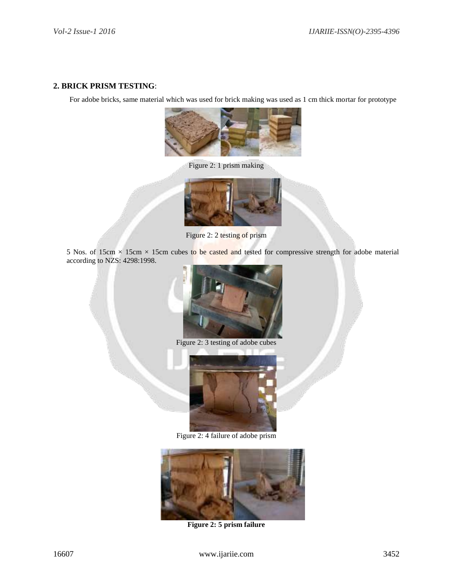## **2. BRICK PRISM TESTING**:

For adobe bricks, same material which was used for brick making was used as 1 cm thick mortar for prototype



Figure 2: 1 prism making



Figure 2: 2 testing of prism

5 Nos. of 15cm  $\times$  15cm  $\times$  15cm cubes to be casted and tested for compressive strength for adobe material according to NZS: 4298:1998.



Figure 2: 3 testing of adobe cubes



Figure 2: 4 failure of adobe prism



**Figure 2: 5 prism failure**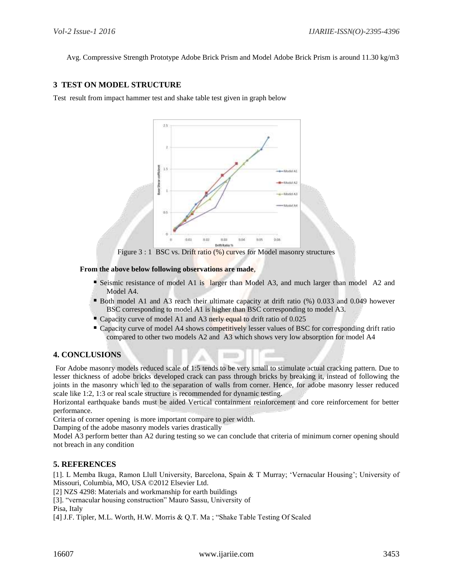Avg. Compressive Strength Prototype Adobe Brick Prism and Model Adobe Brick Prism is around 11.30 kg/m3

# **3 TEST ON MODEL STRUCTURE**

Test result from impact hammer test and shake table test given in graph below



Figure 3 : 1 BSC vs. Drift ratio (%) curves for Model masonry structures

## **From the above below following observations are made**,

- Seismic resistance of model A1 is larger than Model A3, and much larger than model A2 and Model A4.
- Both model A1 and A3 reach their ultimate capacity at drift ratio (%) 0.033 and 0.049 however BSC corresponding to model A1 is higher than BSC corresponding to model A3.
- Capacity curve of model A1 and A3 nerly equal to drift ratio of 0.025
- Capacity curve of model A4 shows competitively lesser values of BSC for corresponding drift ratio compared to other two models A2 and A3 which shows very low absorption for model A4

## **4. CONCLUSIONS**

For Adobe masonry models reduced scale of 1:5 tends to be very small to stimulate actual cracking pattern. Due to lesser thickness of adobe bricks developed crack can pass through bricks by breaking it, instead of following the joints in the masonry which led to the separation of walls from corner. Hence, for adobe masonry lesser reduced scale like 1:2, 1:3 or real scale structure is recommended for dynamic testing.

Horizontal earthquake bands must be aided Vertical containment reinforcement and core reinforcement for better performance.

Criteria of corner opening is more important compare to pier width.

Damping of the adobe masonry models varies drastically

Model A3 perform better than A2 during testing so we can conclude that criteria of minimum corner opening should not breach in any condition

## **5. REFERENCES**

[1]. L Memba Ikuga, Ramon Llull University, Barcelona, Spain & T Murray; 'Vernacular Housing'; University of Missouri, Columbia, MO, USA ©2012 Elsevier Ltd.

[2] NZS 4298: Materials and workmanship for earth buildings

[3]. "vernacular housing construction" Mauro Sassu, University of

Pisa, Italy

[4] J.F. Tipler, M.L. Worth, H.W. Morris & Q.T. Ma ; "Shake Table Testing Of Scaled